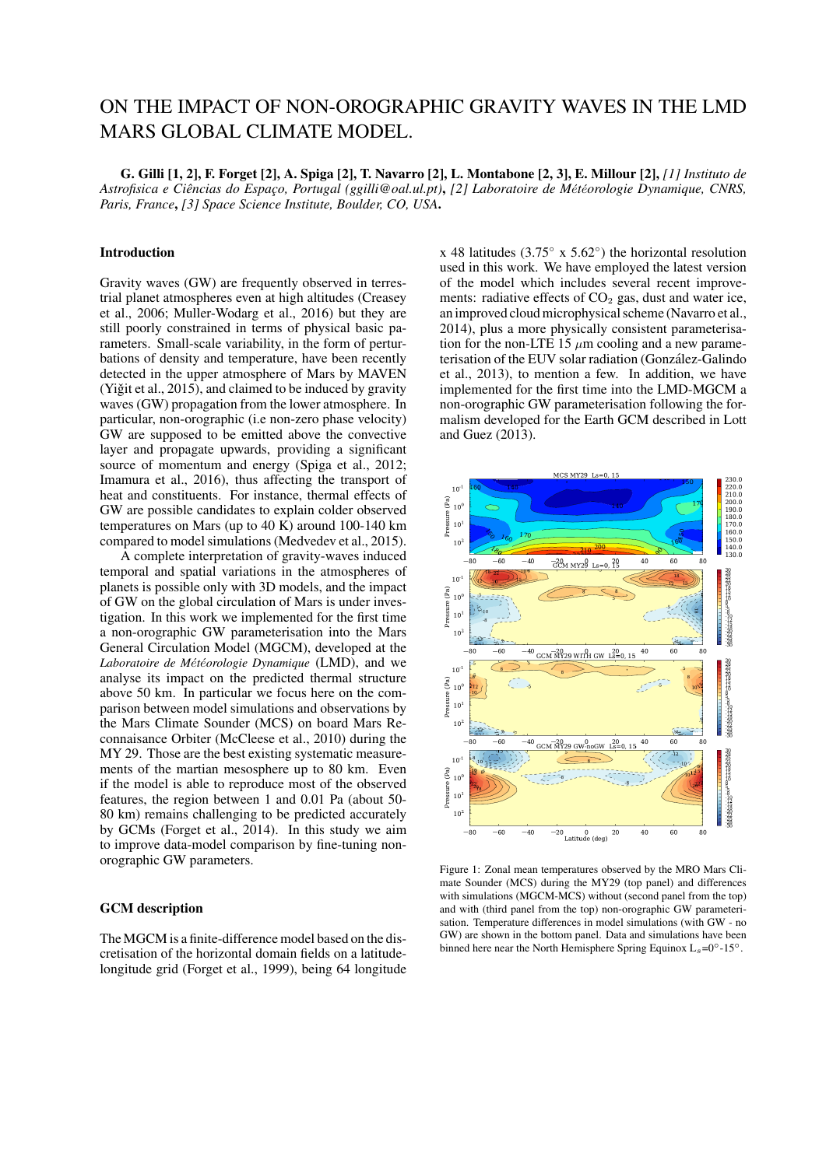# ON THE IMPACT OF NON-OROGRAPHIC GRAVITY WAVES IN THE LMD MARS GLOBAL CLIMATE MODEL.

G. Gilli [1, 2], F. Forget [2], A. Spiga [2], T. Navarro [2], L. Montabone [2, 3], E. Millour [2], *[1] Instituto de Astrofisica e Ciências do Espaço, Portugal (ggilli@oal.ul.pt)*, *[2] Laboratoire de M*e´*t*e´*orologie Dynamique, CNRS, Paris, France*, *[3] Space Science Institute, Boulder, CO, USA*.

# Introduction

Gravity waves (GW) are frequently observed in terrestrial planet atmospheres even at high altitudes (Creasey et al., 2006; Muller-Wodarg et al., 2016) but they are still poorly constrained in terms of physical basic parameters. Small-scale variability, in the form of perturbations of density and temperature, have been recently detected in the upper atmosphere of Mars by MAVEN (Yiğit et al.,  $2015$ ), and claimed to be induced by gravity waves (GW) propagation from the lower atmosphere. In particular, non-orographic (i.e non-zero phase velocity) GW are supposed to be emitted above the convective layer and propagate upwards, providing a significant source of momentum and energy (Spiga et al., 2012; Imamura et al., 2016), thus affecting the transport of heat and constituents. For instance, thermal effects of GW are possible candidates to explain colder observed temperatures on Mars (up to  $40 \text{ K}$ ) around 100-140 km compared to model simulations (Medvedev et al., 2015).

A complete interpretation of gravity-waves induced temporal and spatial variations in the atmospheres of planets is possible only with 3D models, and the impact of GW on the global circulation of Mars is under investigation. In this work we implemented for the first time a non-orographic GW parameterisation into the Mars General Circulation Model (MGCM), developed at the Laboratoire de Météorologie Dynamique (LMD), and we analyse its impact on the predicted thermal structure above 50 km. In particular we focus here on the comparison between model simulations and observations by the Mars Climate Sounder (MCS) on board Mars Reconnaisance Orbiter (McCleese et al., 2010) during the MY 29. Those are the best existing systematic measurements of the martian mesosphere up to 80 km. Even if the model is able to reproduce most of the observed features, the region between 1 and 0.01 Pa (about 50- 80 km) remains challenging to be predicted accurately by GCMs (Forget et al., 2014). In this study we aim to improve data-model comparison by fine-tuning nonorographic GW parameters.

## GCM description

The MGCM is a finite-difference model based on the discretisation of the horizontal domain fields on a latitudelongitude grid (Forget et al., 1999), being 64 longitude

x 48 latitudes (3.75 $\degree$  x 5.62 $\degree$ ) the horizontal resolution used in this work. We have employed the latest version of the model which includes several recent improvements: radiative effects of  $CO<sub>2</sub>$  gas, dust and water ice, an improved cloud microphysical scheme (Navarro et al., 2014), plus a more physically consistent parameterisation for the non-LTE 15  $\mu$ m cooling and a new parameterisation of the EUV solar radiation (Gonzalez-Galindo ´ et al., 2013), to mention a few. In addition, we have implemented for the first time into the LMD-MGCM a non-orographic GW parameterisation following the formalism developed for the Earth GCM described in Lott and Guez (2013).



Figure 1: Zonal mean temperatures observed by the MRO Mars Climate Sounder (MCS) during the MY29 (top panel) and differences with simulations (MGCM-MCS) without (second panel from the top) and with (third panel from the top) non-orographic GW parameterisation. Temperature differences in model simulations (with GW - no GW) are shown in the bottom panel. Data and simulations have been binned here near the North Hemisphere Spring Equinox  $L_s=0°-15°$ .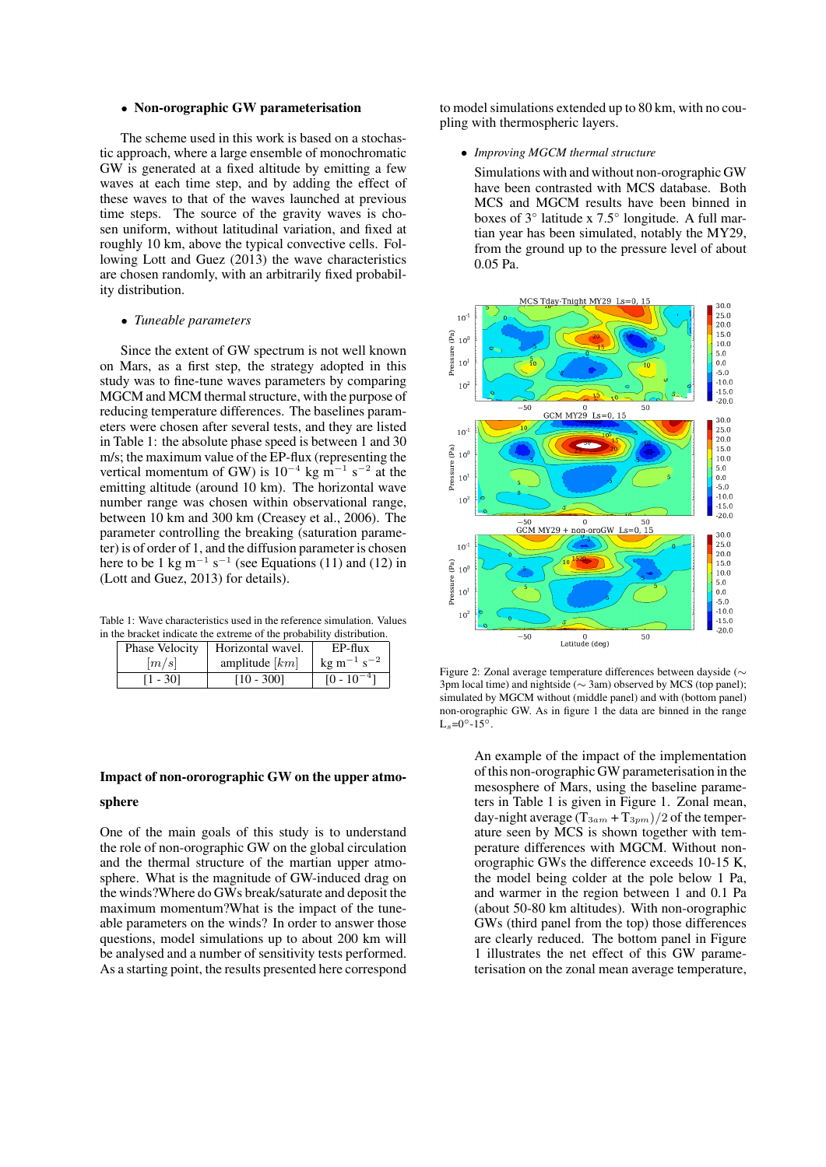#### • Non-orographic GW parameterisation

The scheme used in this work is based on a stochastic approach, where a large ensemble of monochromatic GW is generated at a fixed altitude by emitting a few waves at each time step, and by adding the effect of these waves to that of the waves launched at previous time steps. The source of the gravity waves is chosen uniform, without latitudinal variation, and fixed at roughly 10 km, above the typical convective cells. Following Lott and Guez (2013) the wave characteristics are chosen randomly, with an arbitrarily fixed probability distribution.

#### • *Tuneable parameters*

Since the extent of GW spectrum is not well known on Mars, as a first step, the strategy adopted in this study was to fine-tune waves parameters by comparing MGCM and MCM thermal structure, with the purpose of reducing temperature differences. The baselines parameters were chosen after several tests, and they are listed in Table 1: the absolute phase speed is between 1 and 30 m/s; the maximum value of the EP-flux (representing the vertical momentum of GW) is  $10^{-4}$  kg m<sup>-1</sup> s<sup>-2</sup> at the emitting altitude (around 10 km). The horizontal wave number range was chosen within observational range, between 10 km and 300 km (Creasey et al., 2006). The parameter controlling the breaking (saturation parameter) is of order of 1, and the diffusion parameter is chosen here to be 1 kg m<sup>-1</sup> s<sup>-1</sup> (see Equations (11) and (12) in (Lott and Guez, 2013) for details).

Table 1: Wave characteristics used in the reference simulation. Values in the bracket indicate the extreme of the probability distribution.

| Phase Velocity | Horizontal wavel. | $EP-flux$                         |
|----------------|-------------------|-----------------------------------|
| m/s            | amplitude $[km]$  | $\text{kg m}^{-1} \text{ s}^{-2}$ |
| $[1 - 30]$     | $[10 - 300]$      | $[0 - 10^{-4}]$                   |

#### Impact of non-ororographic GW on the upper atmo-

#### sphere

One of the main goals of this study is to understand the role of non-orographic GW on the global circulation and the thermal structure of the martian upper atmosphere. What is the magnitude of GW-induced drag on the winds?Where do GWs break/saturate and deposit the maximum momentum?What is the impact of the tuneable parameters on the winds? In order to answer those questions, model simulations up to about 200 km will be analysed and a number of sensitivity tests performed. As a starting point, the results presented here correspond

to model simulations extended up to 80 km, with no coupling with thermospheric layers.

# • *Improving MGCM thermal structure*

Simulations with and without non-orographic GW have been contrasted with MCS database. Both MCS and MGCM results have been binned in boxes of 3◦ latitude x 7.5◦ longitude. A full martian year has been simulated, notably the MY29, from the ground up to the pressure level of about 0.05 Pa.



Figure 2: Zonal average temperature differences between dayside (∼ 3pm local time) and nightside (∼ 3am) observed by MCS (top panel); simulated by MGCM without (middle panel) and with (bottom panel) non-orographic GW. As in figure 1 the data are binned in the range  $L_s = 0^\circ - 15^\circ$ .

An example of the impact of the implementation of this non-orographic GW parameterisation in the mesosphere of Mars, using the baseline parameters in Table 1 is given in Figure 1. Zonal mean, day-night average  $(T_{3am} + T_{3pm})/2$  of the temperature seen by MCS is shown together with temperature differences with MGCM. Without nonorographic GWs the difference exceeds 10-15 K, the model being colder at the pole below 1 Pa, and warmer in the region between 1 and 0.1 Pa (about 50-80 km altitudes). With non-orographic GWs (third panel from the top) those differences are clearly reduced. The bottom panel in Figure 1 illustrates the net effect of this GW parameterisation on the zonal mean average temperature,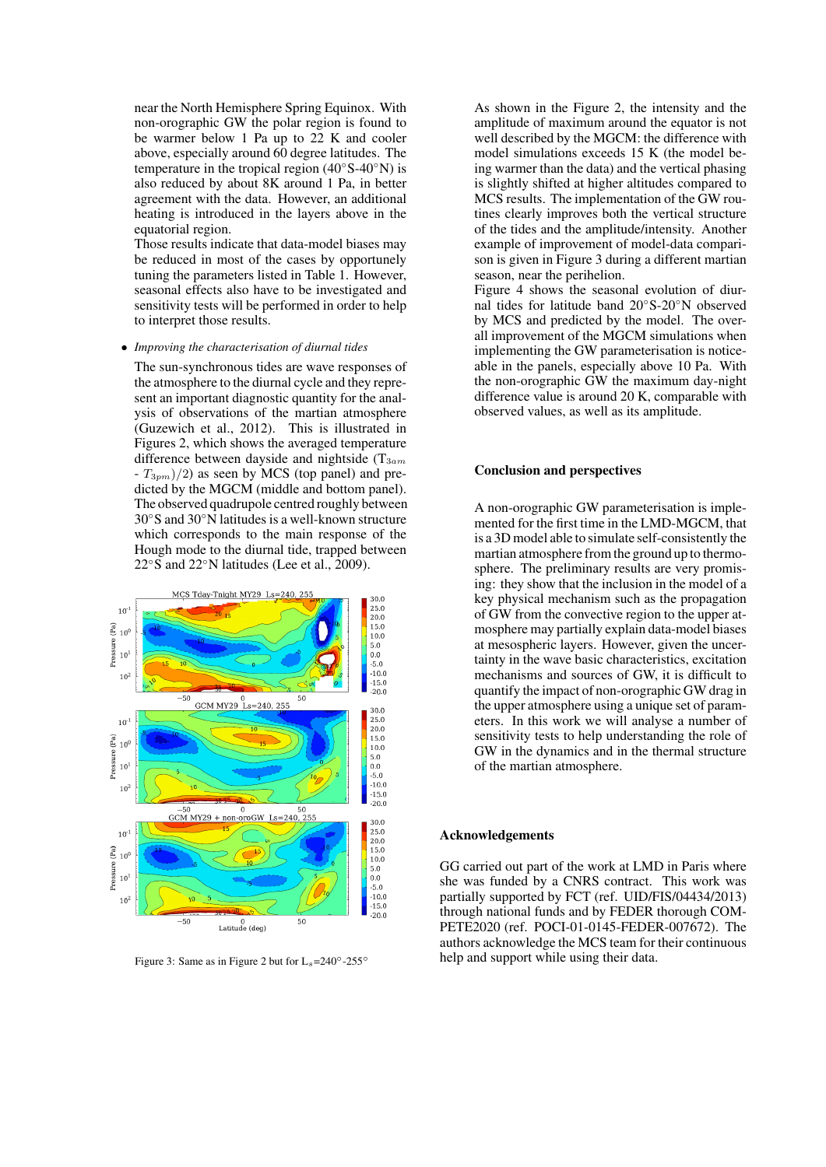near the North Hemisphere Spring Equinox. With non-orographic GW the polar region is found to be warmer below 1 Pa up to 22 K and cooler above, especially around 60 degree latitudes. The temperature in the tropical region (40◦S-40◦N) is also reduced by about 8K around 1 Pa, in better agreement with the data. However, an additional heating is introduced in the layers above in the equatorial region.

Those results indicate that data-model biases may be reduced in most of the cases by opportunely tuning the parameters listed in Table 1. However, seasonal effects also have to be investigated and sensitivity tests will be performed in order to help to interpret those results.

#### • *Improving the characterisation of diurnal tides*

The sun-synchronous tides are wave responses of the atmosphere to the diurnal cycle and they represent an important diagnostic quantity for the analysis of observations of the martian atmosphere (Guzewich et al., 2012). This is illustrated in Figures 2, which shows the averaged temperature difference between dayside and nightside  $(T_{3am})$  $-T_{3pm}/2$  as seen by MCS (top panel) and predicted by the MGCM (middle and bottom panel). The observed quadrupole centred roughly between 30◦S and 30◦N latitudes is a well-known structure which corresponds to the main response of the Hough mode to the diurnal tide, trapped between 22◦S and 22◦N latitudes (Lee et al., 2009).



Figure 3: Same as in Figure 2 but for  $L_s=240^\circ$ -255°

As shown in the Figure 2, the intensity and the amplitude of maximum around the equator is not well described by the MGCM: the difference with model simulations exceeds 15 K (the model being warmer than the data) and the vertical phasing is slightly shifted at higher altitudes compared to MCS results. The implementation of the GW routines clearly improves both the vertical structure of the tides and the amplitude/intensity. Another example of improvement of model-data comparison is given in Figure 3 during a different martian season, near the perihelion.

Figure 4 shows the seasonal evolution of diurnal tides for latitude band 20◦S-20◦N observed by MCS and predicted by the model. The overall improvement of the MGCM simulations when implementing the GW parameterisation is noticeable in the panels, especially above 10 Pa. With the non-orographic GW the maximum day-night difference value is around 20 K, comparable with observed values, as well as its amplitude.

# Conclusion and perspectives

A non-orographic GW parameterisation is implemented for the first time in the LMD-MGCM, that is a 3D model able to simulate self-consistently the martian atmosphere from the ground up to thermosphere. The preliminary results are very promising: they show that the inclusion in the model of a key physical mechanism such as the propagation of GW from the convective region to the upper atmosphere may partially explain data-model biases at mesospheric layers. However, given the uncertainty in the wave basic characteristics, excitation mechanisms and sources of GW, it is difficult to quantify the impact of non-orographic GW drag in the upper atmosphere using a unique set of parameters. In this work we will analyse a number of sensitivity tests to help understanding the role of GW in the dynamics and in the thermal structure of the martian atmosphere.

# Acknowledgements

GG carried out part of the work at LMD in Paris where she was funded by a CNRS contract. This work was partially supported by FCT (ref. UID/FIS/04434/2013) through national funds and by FEDER thorough COM-PETE2020 (ref. POCI-01-0145-FEDER-007672). The authors acknowledge the MCS team for their continuous help and support while using their data.